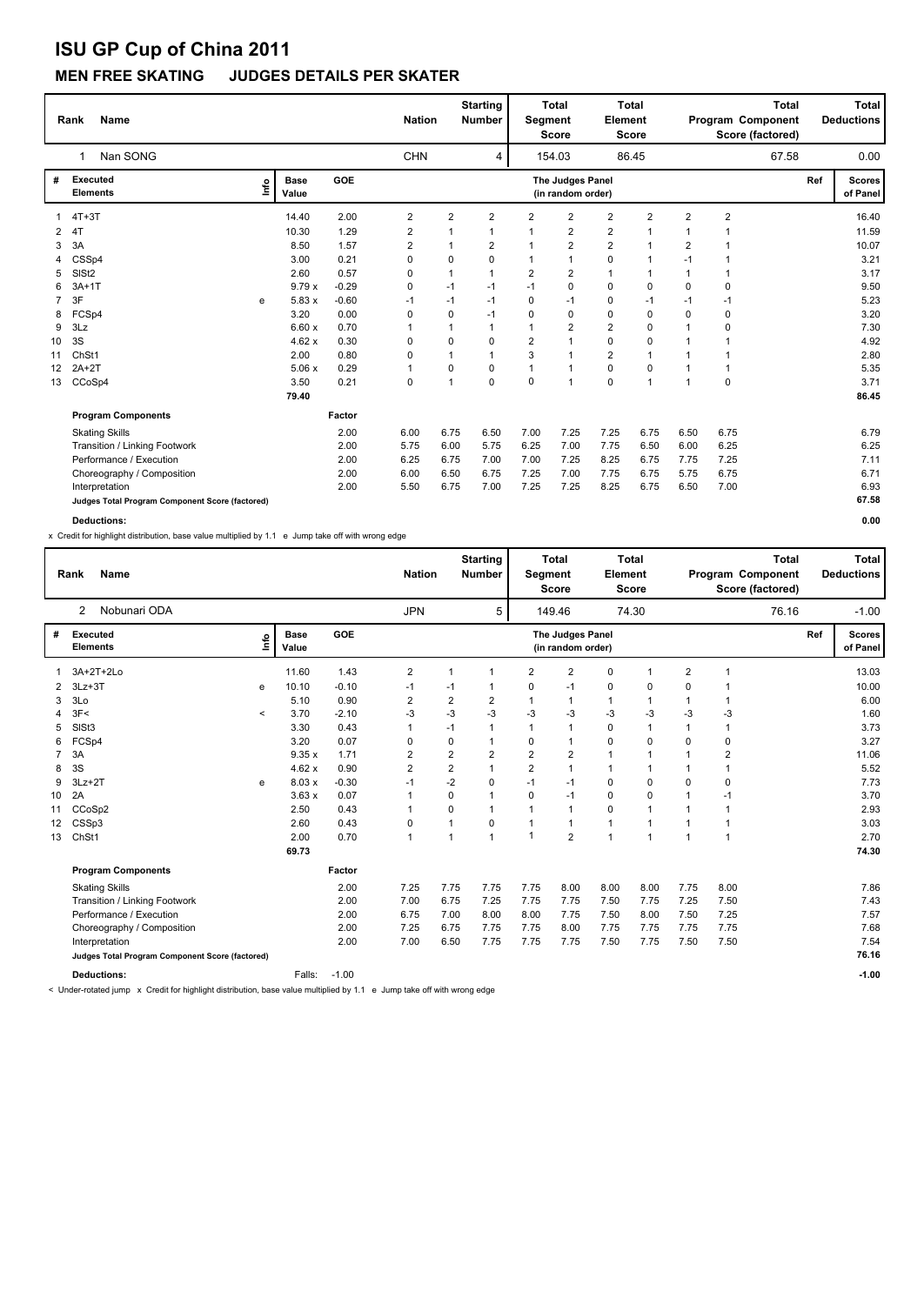### **MEN FREE SKATING JUDGES DETAILS PER SKATER**

|                 | Name<br>Rank                                    |      |                      |         | <b>Nation</b>  |                | <b>Starting</b><br><b>Number</b> | Segment        | <b>Total</b><br><b>Score</b>          | <b>Element</b>          | <b>Total</b><br><b>Score</b> |                | Program Component<br>Score (factored) | <b>Total</b> |     | Total<br><b>Deductions</b> |
|-----------------|-------------------------------------------------|------|----------------------|---------|----------------|----------------|----------------------------------|----------------|---------------------------------------|-------------------------|------------------------------|----------------|---------------------------------------|--------------|-----|----------------------------|
|                 | Nan SONG<br>1                                   |      |                      |         | <b>CHN</b>     |                | 4                                |                | 154.03                                |                         | 86.45                        |                |                                       | 67.58        |     | 0.00                       |
| #               | <b>Executed</b><br><b>Elements</b>              | Lnfo | <b>Base</b><br>Value | GOE     |                |                |                                  |                | The Judges Panel<br>(in random order) |                         |                              |                |                                       |              | Ref | <b>Scores</b><br>of Panel  |
| 1               | $4T+3T$                                         |      | 14.40                | 2.00    | $\overline{2}$ | $\overline{2}$ | $\overline{2}$                   | 2              | $\overline{2}$                        | $\overline{2}$          | $\overline{2}$               | $\overline{2}$ | $\overline{2}$                        |              |     | 16.40                      |
| $\mathbf{2}$    | 4T                                              |      | 10.30                | 1.29    | 2              | 1              | $\mathbf 1$                      | -1             | 2                                     | $\overline{\mathbf{c}}$ | $\mathbf 1$                  | 1              |                                       |              |     | 11.59                      |
| 3               | 3A                                              |      | 8.50                 | 1.57    | $\overline{2}$ | 1              | $\overline{2}$                   | $\mathbf 1$    | $\overline{2}$                        | $\overline{2}$          | 1                            | $\overline{2}$ |                                       |              |     | 10.07                      |
|                 | CSSp4                                           |      | 3.00                 | 0.21    | 0              | 0              | $\mathbf 0$                      | $\mathbf{1}$   | 1                                     | 0                       | 1                            | $-1$           |                                       |              |     | 3.21                       |
| 5               | SIS <sub>t2</sub>                               |      | 2.60                 | 0.57    | 0              | 1              | $\mathbf{1}$                     | $\overline{2}$ | $\overline{2}$                        | $\mathbf{1}$            | $\mathbf 1$                  | 1              |                                       |              |     | 3.17                       |
| 6               | $3A+1T$                                         |      | 9.79x                | $-0.29$ | 0              | $-1$           | -1                               | $-1$           | 0                                     | 0                       | $\mathbf 0$                  | 0              | 0                                     |              |     | 9.50                       |
| $\overline{7}$  | 3F                                              | e    | 5.83x                | $-0.60$ | $-1$           | $-1$           | $-1$                             | $\Omega$       | $-1$                                  | 0                       | $-1$                         | $-1$           | $-1$                                  |              |     | 5.23                       |
| 8               | FCSp4                                           |      | 3.20                 | 0.00    | 0              | 0              | $-1$                             | $\Omega$       | $\Omega$                              | 0                       | $\Omega$                     | $\Omega$       | 0                                     |              |     | 3.20                       |
| 9               | 3Lz                                             |      | 6.60x                | 0.70    |                | 1              | $\mathbf{1}$                     | $\mathbf 1$    | $\overline{2}$                        | $\overline{\mathbf{c}}$ | $\Omega$                     | $\mathbf 1$    | 0                                     |              |     | 7.30                       |
| 10              | 3S                                              |      | 4.62x                | 0.30    | 0              | 0              | 0                                | $\overline{2}$ | 1                                     | 0                       | 0                            | 1              |                                       |              |     | 4.92                       |
| 11              | ChSt1                                           |      | 2.00                 | 0.80    | 0              | $\mathbf{1}$   | $\mathbf{1}$                     | 3              | $\overline{1}$                        | $\overline{2}$          | 1                            | $\mathbf 1$    |                                       |              |     | 2.80                       |
| 12 <sup>2</sup> | $2A+2T$                                         |      | 5.06x                | 0.29    | 1              | 0              | 0                                | $\overline{1}$ | $\overline{1}$                        | 0                       | $\Omega$                     | $\mathbf{1}$   | 1                                     |              |     | 5.35                       |
| 13              | CCoSp4                                          |      | 3.50                 | 0.21    | $\pmb{0}$      | 1              | $\mathbf 0$                      | 0              | $\overline{1}$                        | 0                       | 1                            | $\mathbf{1}$   | 0                                     |              |     | 3.71                       |
|                 |                                                 |      | 79.40                |         |                |                |                                  |                |                                       |                         |                              |                |                                       |              |     | 86.45                      |
|                 | <b>Program Components</b>                       |      |                      | Factor  |                |                |                                  |                |                                       |                         |                              |                |                                       |              |     |                            |
|                 | <b>Skating Skills</b>                           |      |                      | 2.00    | 6.00           | 6.75           | 6.50                             | 7.00           | 7.25                                  | 7.25                    | 6.75                         | 6.50           | 6.75                                  |              |     | 6.79                       |
|                 | Transition / Linking Footwork                   |      |                      | 2.00    | 5.75           | 6.00           | 5.75                             | 6.25           | 7.00                                  | 7.75                    | 6.50                         | 6.00           | 6.25                                  |              |     | 6.25                       |
|                 | Performance / Execution                         |      |                      | 2.00    | 6.25           | 6.75           | 7.00                             | 7.00           | 7.25                                  | 8.25                    | 6.75                         | 7.75           | 7.25                                  |              |     | 7.11                       |
|                 | Choreography / Composition                      |      |                      | 2.00    | 6.00           | 6.50           | 6.75                             | 7.25           | 7.00                                  | 7.75                    | 6.75                         | 5.75           | 6.75                                  |              |     | 6.71                       |
|                 | Interpretation                                  |      |                      | 2.00    | 5.50           | 6.75           | 7.00                             | 7.25           | 7.25                                  | 8.25                    | 6.75                         | 6.50           | 7.00                                  |              |     | 6.93                       |
|                 | Judges Total Program Component Score (factored) |      |                      |         |                |                |                                  |                |                                       |                         |                              |                |                                       |              |     | 67.58                      |
|                 | <b>Deductions:</b>                              |      |                      |         |                |                |                                  |                |                                       |                         |                              |                |                                       |              |     | 0.00                       |

x Credit for highlight distribution, base value multiplied by 1.1 e Jump take off with wrong edge

|    | <b>Name</b><br>Rank                             |         |                      |         | <b>Nation</b>           |                | <b>Starting</b><br><b>Number</b> | Segment              | <b>Total</b><br><b>Score</b>          | Element        | <b>Total</b><br><b>Score</b> |                | Program Component<br>Score (factored) | <b>Total</b> |     | <b>Total</b><br><b>Deductions</b> |
|----|-------------------------------------------------|---------|----------------------|---------|-------------------------|----------------|----------------------------------|----------------------|---------------------------------------|----------------|------------------------------|----------------|---------------------------------------|--------------|-----|-----------------------------------|
|    | Nobunari ODA<br>2                               |         |                      |         | <b>JPN</b>              |                | 5                                |                      | 149.46                                |                | 74.30                        |                |                                       | 76.16        |     | $-1.00$                           |
| #  | <b>Executed</b><br><b>Elements</b>              | ۴٥      | <b>Base</b><br>Value | GOE     |                         |                |                                  |                      | The Judges Panel<br>(in random order) |                |                              |                |                                       |              | Ref | <b>Scores</b><br>of Panel         |
|    | 3A+2T+2Lo                                       |         | 11.60                | 1.43    | 2                       |                | $\mathbf 1$                      | $\overline{2}$       | $\overline{2}$                        | $\mathbf 0$    |                              | $\overline{2}$ |                                       |              |     | 13.03                             |
| 2  | $3Lz + 3T$                                      | е       | 10.10                | $-0.10$ | $-1$                    | -1             | 1                                | $\Omega$             | $-1$                                  | 0              | 0                            | $\mathbf 0$    |                                       |              |     | 10.00                             |
| 3  | 3Lo                                             |         | 5.10                 | 0.90    | $\overline{\mathbf{c}}$ | $\overline{2}$ | 2                                |                      | $\mathbf{1}$                          | $\mathbf{1}$   | 1                            |                |                                       |              |     | 6.00                              |
|    | 3F<                                             | $\prec$ | 3.70                 | $-2.10$ | $-3$                    | $-3$           | -3                               | -3                   | -3                                    | $-3$           | $-3$                         | -3             | -3                                    |              |     | 1.60                              |
| 5  | SIS <sub>t3</sub>                               |         | 3.30                 | 0.43    | 1                       | $-1$           | 1                                | -1                   | $\mathbf{1}$                          | 0              | 1                            |                | 1                                     |              |     | 3.73                              |
| 6  | FCSp4                                           |         | 3.20                 | 0.07    | 0                       | 0              |                                  | 0                    | $\mathbf{1}$                          | $\mathbf 0$    | 0                            | $\Omega$       | $\mathbf 0$                           |              |     | 3.27                              |
|    | 3A                                              |         | 9.35x                | 1.71    | 2                       | $\mathbf 2$    | $\overline{2}$                   | $\overline{2}$       | $\overline{\mathbf{c}}$               | $\mathbf{1}$   |                              |                | $\overline{2}$                        |              |     | 11.06                             |
| 8  | 3S                                              |         | 4.62x                | 0.90    | $\overline{\mathbf{c}}$ | $\overline{2}$ | $\mathbf{1}$                     | $\overline{2}$       | $\mathbf{1}$                          | $\mathbf{1}$   | 1                            |                | $\overline{1}$                        |              |     | 5.52                              |
| 9  | $3Lz + 2T$                                      | e       | 8.03x                | $-0.30$ | $-1$                    | $-2$           | 0                                | $-1$                 | $-1$                                  | 0              | 0                            | $\Omega$       | $\mathbf 0$                           |              |     | 7.73                              |
| 10 | 2A                                              |         | 3.63x                | 0.07    | 1                       | 0              | 1                                | 0                    | $-1$                                  | 0              | 0                            |                | $-1$                                  |              |     | 3.70                              |
| 11 | CCoSp2                                          |         | 2.50                 | 0.43    | 1                       | 0              | 1                                | $\blacktriangleleft$ | $\mathbf{1}$                          | $\mathbf 0$    | 1                            |                | $\overline{1}$                        |              |     | 2.93                              |
| 12 | CSSp3                                           |         | 2.60                 | 0.43    | 0                       | $\mathbf{1}$   | 0                                | $\overline{1}$       | $\mathbf{1}$                          | $\mathbf{1}$   | 1                            |                | $\overline{1}$                        |              |     | 3.03                              |
| 13 | ChSt1                                           |         | 2.00                 | 0.70    | $\mathbf{1}$            | 1              | $\mathbf{1}$                     | -1                   | $\overline{2}$                        | $\overline{1}$ | $\overline{1}$               | 1              | $\overline{1}$                        |              |     | 2.70                              |
|    |                                                 |         | 69.73                |         |                         |                |                                  |                      |                                       |                |                              |                |                                       |              |     | 74.30                             |
|    | <b>Program Components</b>                       |         |                      | Factor  |                         |                |                                  |                      |                                       |                |                              |                |                                       |              |     |                                   |
|    | <b>Skating Skills</b>                           |         |                      | 2.00    | 7.25                    | 7.75           | 7.75                             | 7.75                 | 8.00                                  | 8.00           | 8.00                         | 7.75           | 8.00                                  |              |     | 7.86                              |
|    | Transition / Linking Footwork                   |         |                      | 2.00    | 7.00                    | 6.75           | 7.25                             | 7.75                 | 7.75                                  | 7.50           | 7.75                         | 7.25           | 7.50                                  |              |     | 7.43                              |
|    | Performance / Execution                         |         |                      | 2.00    | 6.75                    | 7.00           | 8.00                             | 8.00                 | 7.75                                  | 7.50           | 8.00                         | 7.50           | 7.25                                  |              |     | 7.57                              |
|    | Choreography / Composition                      |         |                      | 2.00    | 7.25                    | 6.75           | 7.75                             | 7.75                 | 8.00                                  | 7.75           | 7.75                         | 7.75           | 7.75                                  |              |     | 7.68                              |
|    | Interpretation                                  |         |                      | 2.00    | 7.00                    | 6.50           | 7.75                             | 7.75                 | 7.75                                  | 7.50           | 7.75                         | 7.50           | 7.50                                  |              |     | 7.54                              |
|    | Judges Total Program Component Score (factored) |         |                      |         |                         |                |                                  |                      |                                       |                |                              |                |                                       |              |     | 76.16                             |
|    | <b>Deductions:</b>                              |         | Falls:               | $-1.00$ |                         |                |                                  |                      |                                       |                |                              |                |                                       |              |     | $-1.00$                           |

< Under-rotated jump x Credit for highlight distribution, base value multiplied by 1.1 e Jump take off with wrong edge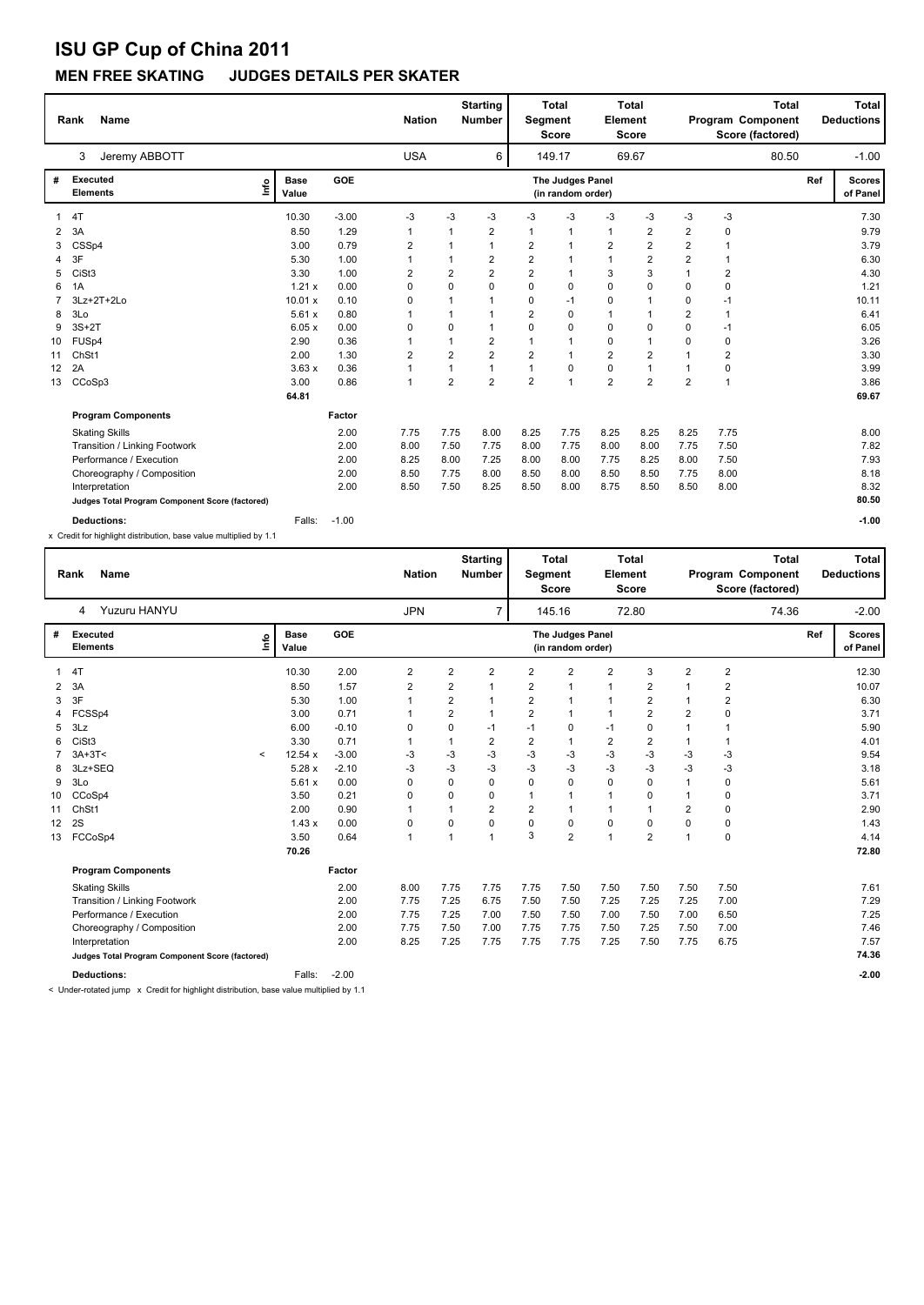### **MEN FREE SKATING JUDGES DETAILS PER SKATER**

|    | <b>Name</b><br>Rank                                               |                                     |            | <b>Nation</b>  |                         | <b>Starting</b><br><b>Number</b> | Segment        | <b>Total</b><br><b>Score</b>          | Element        | <b>Total</b><br><b>Score</b> |                         | Program Component<br>Score (factored) | <b>Total</b> |     | <b>Total</b><br><b>Deductions</b> |
|----|-------------------------------------------------------------------|-------------------------------------|------------|----------------|-------------------------|----------------------------------|----------------|---------------------------------------|----------------|------------------------------|-------------------------|---------------------------------------|--------------|-----|-----------------------------------|
|    | Jeremy ABBOTT<br>3                                                |                                     |            | <b>USA</b>     |                         | 6                                |                | 149.17                                |                | 69.67                        |                         |                                       | 80.50        |     | $-1.00$                           |
| #  | <b>Executed</b><br><b>Elements</b>                                | <b>Base</b><br><u>lnfo</u><br>Value | <b>GOE</b> |                |                         |                                  |                | The Judges Panel<br>(in random order) |                |                              |                         |                                       |              | Ref | <b>Scores</b><br>of Panel         |
| 1  | 4T                                                                | 10.30                               | $-3.00$    | -3             | -3                      | $-3$                             | -3             | $-3$                                  | $-3$           | $-3$                         | $-3$                    | $-3$                                  |              |     | 7.30                              |
| 2  | 3A                                                                | 8.50                                | 1.29       |                | 1                       | 2                                | $\overline{1}$ | 1                                     | 1              | 2                            | 2                       | 0                                     |              |     | 9.79                              |
| 3  | CSSp4                                                             | 3.00                                | 0.79       | 2              | 1                       | 1                                | 2              | 1                                     | $\overline{2}$ | $\overline{\mathbf{c}}$      | $\overline{\mathbf{c}}$ | $\mathbf 1$                           |              |     | 3.79                              |
| 4  | 3F                                                                | 5.30                                | 1.00       |                | 1                       | $\overline{2}$                   | $\overline{2}$ | 1                                     | 1              | $\overline{\mathbf{c}}$      | $\overline{2}$          | $\mathbf 1$                           |              |     | 6.30                              |
| 5  | CiSt <sub>3</sub>                                                 | 3.30                                | 1.00       | 2              | $\overline{\mathbf{c}}$ | $\overline{2}$                   | $\overline{2}$ | 1                                     | 3              | 3                            | 1                       | 2                                     |              |     | 4.30                              |
| 6  | 1A                                                                | 1.21x                               | 0.00       | 0              | $\mathbf 0$             | $\Omega$                         | $\Omega$       | 0                                     | 0              | 0                            | 0                       | 0                                     |              |     | 1.21                              |
|    | 3Lz+2T+2Lo                                                        | 10.01 x                             | 0.10       | 0              | $\mathbf{1}$            | -1                               | $\Omega$       | $-1$                                  | 0              | $\mathbf 1$                  | 0                       | $-1$                                  |              |     | 10.11                             |
| 8  | 3Lo                                                               | 5.61x                               | 0.80       |                | 1                       | $\mathbf{1}$                     | $\overline{2}$ | 0                                     | $\mathbf{1}$   |                              | $\overline{2}$          | 1                                     |              |     | 6.41                              |
| 9  | $3S+2T$                                                           | 6.05x                               | 0.00       | 0              | $\Omega$                | $\overline{1}$                   | $\Omega$       | 0                                     | 0              | 0                            | 0                       | $-1$                                  |              |     | 6.05                              |
| 10 | FUSp4                                                             | 2.90                                | 0.36       |                | 1                       | $\overline{2}$                   | -1             | 1                                     | 0              | $\mathbf 1$                  | 0                       | 0                                     |              |     | 3.26                              |
| 11 | ChSt1                                                             | 2.00                                | 1.30       | $\overline{2}$ | $\overline{2}$          | $\overline{2}$                   | $\overline{2}$ | $\mathbf{1}$                          | $\overline{2}$ | 2                            | 1                       | 2                                     |              |     | 3.30                              |
| 12 | 2A                                                                | 3.63x                               | 0.36       | 1              | 1                       | $\mathbf{1}$                     | 1              | 0                                     | 0              |                              | 1                       | 0                                     |              |     | 3.99                              |
| 13 | CCoSp3                                                            | 3.00                                | 0.86       | 1              | $\overline{2}$          | $\overline{2}$                   | $\overline{2}$ | 1                                     | $\overline{2}$ | $\overline{2}$               | $\overline{2}$          | 1                                     |              |     | 3.86                              |
|    |                                                                   | 64.81                               |            |                |                         |                                  |                |                                       |                |                              |                         |                                       |              |     | 69.67                             |
|    | <b>Program Components</b>                                         |                                     | Factor     |                |                         |                                  |                |                                       |                |                              |                         |                                       |              |     |                                   |
|    | <b>Skating Skills</b>                                             |                                     | 2.00       | 7.75           | 7.75                    | 8.00                             | 8.25           | 7.75                                  | 8.25           | 8.25                         | 8.25                    | 7.75                                  |              |     | 8.00                              |
|    | Transition / Linking Footwork                                     |                                     | 2.00       | 8.00           | 7.50                    | 7.75                             | 8.00           | 7.75                                  | 8.00           | 8.00                         | 7.75                    | 7.50                                  |              |     | 7.82                              |
|    | Performance / Execution                                           |                                     | 2.00       | 8.25           | 8.00                    | 7.25                             | 8.00           | 8.00                                  | 7.75           | 8.25                         | 8.00                    | 7.50                                  |              |     | 7.93                              |
|    | Choreography / Composition                                        |                                     | 2.00       | 8.50           | 7.75                    | 8.00                             | 8.50           | 8.00                                  | 8.50           | 8.50                         | 7.75                    | 8.00                                  |              |     | 8.18                              |
|    | Interpretation                                                    |                                     | 2.00       | 8.50           | 7.50                    | 8.25                             | 8.50           | 8.00                                  | 8.75           | 8.50                         | 8.50                    | 8.00                                  |              |     | 8.32                              |
|    | Judges Total Program Component Score (factored)                   |                                     |            |                |                         |                                  |                |                                       |                |                              |                         |                                       |              |     | 80.50                             |
|    | <b>Deductions:</b>                                                | Falls:                              | $-1.00$    |                |                         |                                  |                |                                       |                |                              |                         |                                       |              |     | $-1.00$                           |
|    | x Credit for highlight distribution, base value multiplied by 1.1 |                                     |            |                |                         |                                  |                |                                       |                |                              |                         |                                       |              |     |                                   |

|    | <b>Name</b><br>Rank                             |                          |                      |         | <b>Nation</b>  |                | <b>Starting</b><br>Number | Segment        | <b>Total</b><br><b>Score</b>          | Element        | <b>Total</b><br>Score |                | Program Component<br>Score (factored) | <b>Total</b> |     | <b>Total</b><br><b>Deductions</b> |
|----|-------------------------------------------------|--------------------------|----------------------|---------|----------------|----------------|---------------------------|----------------|---------------------------------------|----------------|-----------------------|----------------|---------------------------------------|--------------|-----|-----------------------------------|
|    | Yuzuru HANYU<br>4                               |                          |                      |         | <b>JPN</b>     |                | $\overline{7}$            |                | 145.16                                |                | 72.80                 |                |                                       | 74.36        |     | $-2.00$                           |
| #  | <b>Executed</b><br><b>Elements</b>              | ١nfo                     | <b>Base</b><br>Value | GOE     |                |                |                           |                | The Judges Panel<br>(in random order) |                |                       |                |                                       |              | Ref | <b>Scores</b><br>of Panel         |
|    | 4T                                              |                          | 10.30                | 2.00    | $\overline{2}$ | $\overline{2}$ | $\overline{2}$            | $\overline{2}$ | $\overline{2}$                        | $\overline{2}$ | 3                     | $\overline{2}$ | $\overline{2}$                        |              |     | 12.30                             |
| 2  | 3A                                              |                          | 8.50                 | 1.57    | 2              | 2              | 1                         | 2              | $\overline{1}$                        | $\mathbf{1}$   | 2                     | 1              | 2                                     |              |     | 10.07                             |
| 3  | 3F                                              |                          | 5.30                 | 1.00    |                | 2              | $\mathbf{1}$              | 2              | $\overline{1}$                        | $\mathbf{1}$   | 2                     | $\mathbf{1}$   | 2                                     |              |     | 6.30                              |
|    | FCSSp4                                          |                          | 3.00                 | 0.71    | 1              | $\overline{2}$ | $\mathbf{1}$              | $\overline{2}$ | $\overline{1}$                        | $\mathbf{1}$   | $\overline{2}$        | 2              | 0                                     |              |     | 3.71                              |
| 5  | 3Lz                                             |                          | 6.00                 | $-0.10$ | 0              | 0              | -1                        | $-1$           | 0                                     | $-1$           | 0                     |                |                                       |              |     | 5.90                              |
|    | CiSt <sub>3</sub>                               |                          | 3.30                 | 0.71    | 1              | 1              | $\overline{2}$            | $\overline{2}$ | $\overline{1}$                        | $\overline{2}$ | $\overline{2}$        | -1             |                                       |              |     | 4.01                              |
|    | $3A+3T<$                                        | $\overline{\phantom{a}}$ | 12.54 x              | $-3.00$ | -3             | $-3$           | -3                        | $-3$           | $-3$                                  | $-3$           | $-3$                  | -3             | $-3$                                  |              |     | 9.54                              |
|    | 3Lz+SEQ                                         |                          | 5.28 x               | $-2.10$ | -3             | $-3$           | $-3$                      | $-3$           | $-3$                                  | $-3$           | $-3$                  | $-3$           | $-3$                                  |              |     | 3.18                              |
| 9  | 3Lo                                             |                          | 5.61x                | 0.00    | 0              | 0              | $\Omega$                  | $\Omega$       | $\mathbf 0$                           | $\mathbf 0$    | $\Omega$              | 1              | 0                                     |              |     | 5.61                              |
| 10 | CCoSp4                                          |                          | 3.50                 | 0.21    | 0              | 0              | 0                         |                | 1                                     | $\mathbf{1}$   | $\Omega$              |                | 0                                     |              |     | 3.71                              |
| 11 | ChSt1                                           |                          | 2.00                 | 0.90    |                | 1              | $\overline{2}$            | $\overline{2}$ | 1                                     | $\mathbf{1}$   |                       | 2              | 0                                     |              |     | 2.90                              |
| 12 | 2S                                              |                          | 1.43x                | 0.00    | 0              | 0              | $\mathbf 0$               | $\Omega$       | $\mathbf 0$                           | $\mathbf 0$    | 0                     | 0              | 0                                     |              |     | 1.43                              |
| 13 | FCCoSp4                                         |                          | 3.50                 | 0.64    | 1              | 1              | $\mathbf{1}$              | 3              | $\overline{2}$                        | $\overline{1}$ | $\overline{2}$        | 1              | 0                                     |              |     | 4.14                              |
|    |                                                 |                          | 70.26                |         |                |                |                           |                |                                       |                |                       |                |                                       |              |     | 72.80                             |
|    | <b>Program Components</b>                       |                          |                      | Factor  |                |                |                           |                |                                       |                |                       |                |                                       |              |     |                                   |
|    | <b>Skating Skills</b>                           |                          |                      | 2.00    | 8.00           | 7.75           | 7.75                      | 7.75           | 7.50                                  | 7.50           | 7.50                  | 7.50           | 7.50                                  |              |     | 7.61                              |
|    | Transition / Linking Footwork                   |                          |                      | 2.00    | 7.75           | 7.25           | 6.75                      | 7.50           | 7.50                                  | 7.25           | 7.25                  | 7.25           | 7.00                                  |              |     | 7.29                              |
|    | Performance / Execution                         |                          |                      | 2.00    | 7.75           | 7.25           | 7.00                      | 7.50           | 7.50                                  | 7.00           | 7.50                  | 7.00           | 6.50                                  |              |     | 7.25                              |
|    | Choreography / Composition                      |                          |                      | 2.00    | 7.75           | 7.50           | 7.00                      | 7.75           | 7.75                                  | 7.50           | 7.25                  | 7.50           | 7.00                                  |              |     | 7.46                              |
|    | Interpretation                                  |                          |                      | 2.00    | 8.25           | 7.25           | 7.75                      | 7.75           | 7.75                                  | 7.25           | 7.50                  | 7.75           | 6.75                                  |              |     | 7.57                              |
|    | Judges Total Program Component Score (factored) |                          |                      |         |                |                |                           |                |                                       |                |                       |                |                                       |              |     | 74.36                             |
|    | <b>Deductions:</b>                              |                          | Falls:               | $-2.00$ |                |                |                           |                |                                       |                |                       |                |                                       |              |     | $-2.00$                           |

< Under-rotated jump x Credit for highlight distribution, base value multiplied by 1.1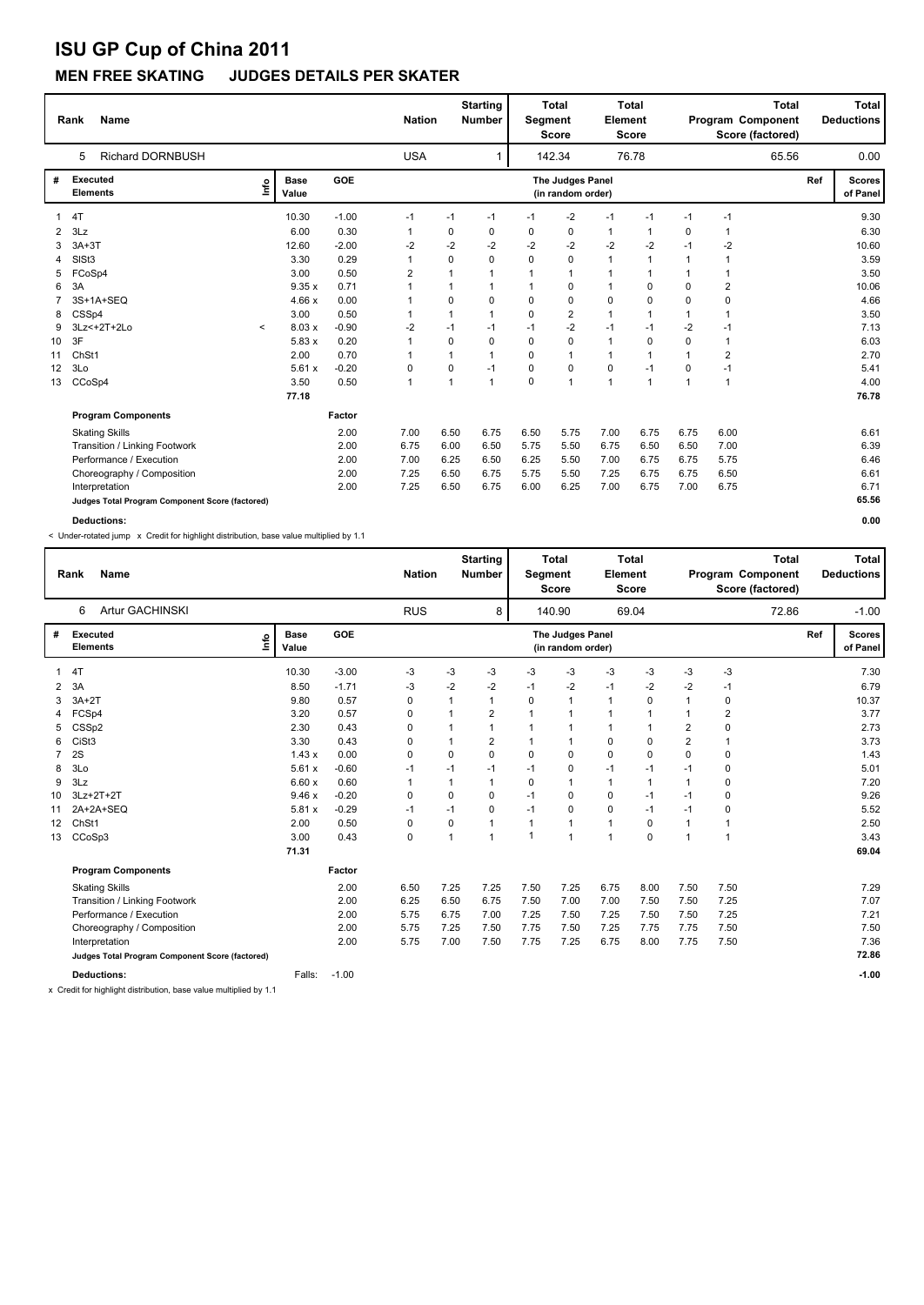### **MEN FREE SKATING JUDGES DETAILS PER SKATER**

|    | <b>Name</b><br>Rank                             |         |                      |         | <b>Nation</b>  |              | <b>Starting</b><br><b>Number</b> | Segment  | <b>Total</b><br><b>Score</b>          | <b>Element</b> | <b>Total</b><br>Score |              | <b>Total</b><br>Program Component<br>Score (factored) |     | Total<br><b>Deductions</b> |
|----|-------------------------------------------------|---------|----------------------|---------|----------------|--------------|----------------------------------|----------|---------------------------------------|----------------|-----------------------|--------------|-------------------------------------------------------|-----|----------------------------|
|    | <b>Richard DORNBUSH</b><br>5                    |         |                      |         | <b>USA</b>     |              | 1                                |          | 142.34                                |                | 76.78                 |              | 65.56                                                 |     | 0.00                       |
| #  | <b>Executed</b><br><b>Elements</b>              | lnfo    | <b>Base</b><br>Value | GOE     |                |              |                                  |          | The Judges Panel<br>(in random order) |                |                       |              |                                                       | Ref | <b>Scores</b><br>of Panel  |
|    | 4T                                              |         | 10.30                | $-1.00$ | $-1$           | $-1$         | $-1$                             | $-1$     | $-2$                                  | $-1$           | $-1$                  | $-1$         | $-1$                                                  |     | 9.30                       |
| 2  | 3Lz                                             |         | 6.00                 | 0.30    | 1              | 0            | 0                                | 0        | 0                                     | 1              |                       | 0            | 1                                                     |     | 6.30                       |
|    | $3A+3T$                                         |         | 12.60                | $-2.00$ | $-2$           | $-2$         | $-2$                             | $-2$     | $-2$                                  | $-2$           | $-2$                  | $-1$         | $-2$                                                  |     | 10.60                      |
| 4  | SISt <sub>3</sub>                               |         | 3.30                 | 0.29    | $\mathbf{1}$   | 0            | $\Omega$                         | $\Omega$ | 0                                     | $\mathbf{1}$   | $\mathbf{1}$          | $\mathbf{1}$ | 1                                                     |     | 3.59                       |
| 5  | FCoSp4                                          |         | 3.00                 | 0.50    | $\overline{2}$ | $\mathbf{1}$ | $\mathbf 1$                      | 1        | 1                                     | 1              | 1                     | 1            |                                                       |     | 3.50                       |
| 6  | 3A                                              |         | 9.35x                | 0.71    | 1              | 1            | $\mathbf 1$                      | 1        | 0                                     | 1              | $\Omega$              | 0            | 2                                                     |     | 10.06                      |
|    | 3S+1A+SEQ                                       |         | 4.66x                | 0.00    | 1              | 0            | $\mathbf 0$                      | $\Omega$ | 0                                     | 0              | 0                     | 0            | $\Omega$                                              |     | 4.66                       |
| 8  | CSSp4                                           |         | 3.00                 | 0.50    | 1              | 1            | $\overline{1}$                   | 0        | 2                                     | 1              | 1                     | 1            |                                                       |     | 3.50                       |
| 9  | 3Lz<+2T+2Lo                                     | $\prec$ | 8.03 x               | $-0.90$ | -2             | $-1$         | -1                               | $-1$     | $-2$                                  | $-1$           | $-1$                  | $-2$         | $-1$                                                  |     | 7.13                       |
| 10 | 3F                                              |         | 5.83x                | 0.20    | $\mathbf{1}$   | 0            | $\mathbf 0$                      | 0        | $\mathbf 0$                           | 1              | 0                     | 0            | 1                                                     |     | 6.03                       |
| 11 | ChSt1                                           |         | 2.00                 | 0.70    | 1              | $\mathbf{1}$ | $\overline{1}$                   | $\Omega$ | $\mathbf{1}$                          | 1              | $\mathbf 1$           | $\mathbf{1}$ | 2                                                     |     | 2.70                       |
| 12 | 3Lo                                             |         | 5.61x                | $-0.20$ | 0              | 0            | $-1$                             | 0        | 0                                     | 0              | $-1$                  | 0            | $-1$                                                  |     | 5.41                       |
| 13 | CCoSp4                                          |         | 3.50                 | 0.50    | $\mathbf{1}$   | 1            | $\overline{1}$                   | 0        | $\overline{1}$                        | 1              | 1                     | 1            | 1                                                     |     | 4.00                       |
|    |                                                 |         | 77.18                |         |                |              |                                  |          |                                       |                |                       |              |                                                       |     | 76.78                      |
|    | <b>Program Components</b>                       |         |                      | Factor  |                |              |                                  |          |                                       |                |                       |              |                                                       |     |                            |
|    | <b>Skating Skills</b>                           |         |                      | 2.00    | 7.00           | 6.50         | 6.75                             | 6.50     | 5.75                                  | 7.00           | 6.75                  | 6.75         | 6.00                                                  |     | 6.61                       |
|    | Transition / Linking Footwork                   |         |                      | 2.00    | 6.75           | 6.00         | 6.50                             | 5.75     | 5.50                                  | 6.75           | 6.50                  | 6.50         | 7.00                                                  |     | 6.39                       |
|    | Performance / Execution                         |         |                      | 2.00    | 7.00           | 6.25         | 6.50                             | 6.25     | 5.50                                  | 7.00           | 6.75                  | 6.75         | 5.75                                                  |     | 6.46                       |
|    | Choreography / Composition                      |         |                      | 2.00    | 7.25           | 6.50         | 6.75                             | 5.75     | 5.50                                  | 7.25           | 6.75                  | 6.75         | 6.50                                                  |     | 6.61                       |
|    | Interpretation                                  |         |                      | 2.00    | 7.25           | 6.50         | 6.75                             | 6.00     | 6.25                                  | 7.00           | 6.75                  | 7.00         | 6.75                                                  |     | 6.71                       |
|    | Judges Total Program Component Score (factored) |         |                      |         |                |              |                                  |          |                                       |                |                       |              |                                                       |     | 65.56                      |
|    | <b>Deductions:</b>                              |         |                      |         |                |              |                                  |          |                                       |                |                       |              |                                                       |     | 0.00                       |

< Under-rotated jump x Credit for highlight distribution, base value multiplied by 1.1

|    | <b>Name</b><br>Rank                             |                              |            | <b>Nation</b> |              | <b>Starting</b><br><b>Number</b> | Segment                 | <b>Total</b><br><b>Score</b>          | Element        | <b>Total</b><br><b>Score</b> |                |                | <b>Total</b><br>Program Component<br>Score (factored) |     | Total<br><b>Deductions</b> |
|----|-------------------------------------------------|------------------------------|------------|---------------|--------------|----------------------------------|-------------------------|---------------------------------------|----------------|------------------------------|----------------|----------------|-------------------------------------------------------|-----|----------------------------|
|    | Artur GACHINSKI<br>6                            |                              |            | <b>RUS</b>    |              | 8                                |                         | 140.90                                |                | 69.04                        |                |                | 72.86                                                 |     | $-1.00$                    |
| #  | <b>Executed</b><br><b>Elements</b>              | <b>Base</b><br>lnfo<br>Value | <b>GOE</b> |               |              |                                  |                         | The Judges Panel<br>(in random order) |                |                              |                |                |                                                       | Ref | <b>Scores</b><br>of Panel  |
|    | 4T                                              | 10.30                        | $-3.00$    | $-3$          | $-3$         | -3                               | -3                      | $-3$                                  | -3             | $-3$                         | -3             | $-3$           |                                                       |     | 7.30                       |
| 2  | 3A                                              | 8.50                         | $-1.71$    | -3            | $-2$         | -2                               | $-1$                    | -2                                    | $-1$           | $-2$                         | $-2$           | -1             |                                                       |     | 6.79                       |
| 3  | $3A+2T$                                         | 9.80                         | 0.57       | 0             |              | 1                                | 0                       | $\mathbf{1}$                          | $\mathbf{1}$   | 0                            |                | 0              |                                                       |     | 10.37                      |
|    | FCSp4                                           | 3.20                         | 0.57       | 0             |              | $\overline{2}$                   | $\overline{\mathbf{1}}$ | $\mathbf{1}$                          | $\overline{1}$ |                              |                | $\overline{2}$ |                                                       |     | 3.77                       |
|    | CSSp2                                           | 2.30                         | 0.43       | 0             |              |                                  | -1                      | $\mathbf{1}$                          | $\mathbf{1}$   |                              | $\overline{2}$ | 0              |                                                       |     | 2.73                       |
|    | CiSt <sub>3</sub>                               | 3.30                         | 0.43       | 0             |              | $\overline{2}$                   | $\mathbf{1}$            | $\mathbf{1}$                          | $\mathbf 0$    | $\mathbf 0$                  | $\overline{2}$ | $\overline{1}$ |                                                       |     | 3.73                       |
|    | 2S                                              | 1.43x                        | 0.00       | 0             | 0            | 0                                | $\Omega$                | $\mathbf 0$                           | $\mathbf 0$    | $\Omega$                     | $\Omega$       | 0              |                                                       |     | 1.43                       |
| 8  | 3Lo                                             | 5.61x                        | $-0.60$    | $-1$          | $-1$         | $-1$                             | $-1$                    | 0                                     | $-1$           | $-1$                         | $-1$           | $\mathbf 0$    |                                                       |     | 5.01                       |
| 9  | 3Lz                                             | 6.60x                        | 0.60       | 1             | $\mathbf{1}$ | $\mathbf 1$                      | 0                       | $\mathbf{1}$                          | $\mathbf{1}$   | $\overline{1}$               | 1              | 0              |                                                       |     | 7.20                       |
| 10 | 3Lz+2T+2T                                       | 9.46x                        | $-0.20$    | 0             | 0            | 0                                | $-1$                    | 0                                     | 0              | $-1$                         | $-1$           | 0              |                                                       |     | 9.26                       |
| 11 | 2A+2A+SEQ                                       | 5.81x                        | $-0.29$    | $-1$          | $-1$         | $\mathbf 0$                      | $-1$                    | $\mathbf 0$                           | $\mathbf 0$    | $-1$                         | $-1$           | 0              |                                                       |     | 5.52                       |
| 12 | ChSt1                                           | 2.00                         | 0.50       | 0             | 0            | 1                                | $\mathbf{1}$            | $\mathbf{1}$                          | $\mathbf{1}$   | 0                            | $\mathbf{1}$   | $\overline{1}$ |                                                       |     | 2.50                       |
| 13 | CCoSp3                                          | 3.00                         | 0.43       | 0             | 1            | 1                                | -1                      | $\mathbf{1}$                          | $\overline{1}$ | $\mathbf 0$                  | 1              | $\overline{1}$ |                                                       |     | 3.43                       |
|    |                                                 | 71.31                        |            |               |              |                                  |                         |                                       |                |                              |                |                |                                                       |     | 69.04                      |
|    | <b>Program Components</b>                       |                              | Factor     |               |              |                                  |                         |                                       |                |                              |                |                |                                                       |     |                            |
|    | <b>Skating Skills</b>                           |                              | 2.00       | 6.50          | 7.25         | 7.25                             | 7.50                    | 7.25                                  | 6.75           | 8.00                         | 7.50           | 7.50           |                                                       |     | 7.29                       |
|    | Transition / Linking Footwork                   |                              | 2.00       | 6.25          | 6.50         | 6.75                             | 7.50                    | 7.00                                  | 7.00           | 7.50                         | 7.50           | 7.25           |                                                       |     | 7.07                       |
|    | Performance / Execution                         |                              | 2.00       | 5.75          | 6.75         | 7.00                             | 7.25                    | 7.50                                  | 7.25           | 7.50                         | 7.50           | 7.25           |                                                       |     | 7.21                       |
|    | Choreography / Composition                      |                              | 2.00       | 5.75          | 7.25         | 7.50                             | 7.75                    | 7.50                                  | 7.25           | 7.75                         | 7.75           | 7.50           |                                                       |     | 7.50                       |
|    | Interpretation                                  |                              | 2.00       | 5.75          | 7.00         | 7.50                             | 7.75                    | 7.25                                  | 6.75           | 8.00                         | 7.75           | 7.50           |                                                       |     | 7.36                       |
|    | Judges Total Program Component Score (factored) |                              |            |               |              |                                  |                         |                                       |                |                              |                |                |                                                       |     | 72.86                      |
|    | <b>Deductions:</b>                              | Falls:                       | $-1.00$    |               |              |                                  |                         |                                       |                |                              |                |                |                                                       |     | $-1.00$                    |

x Credit for highlight distribution, base value multiplied by 1.1